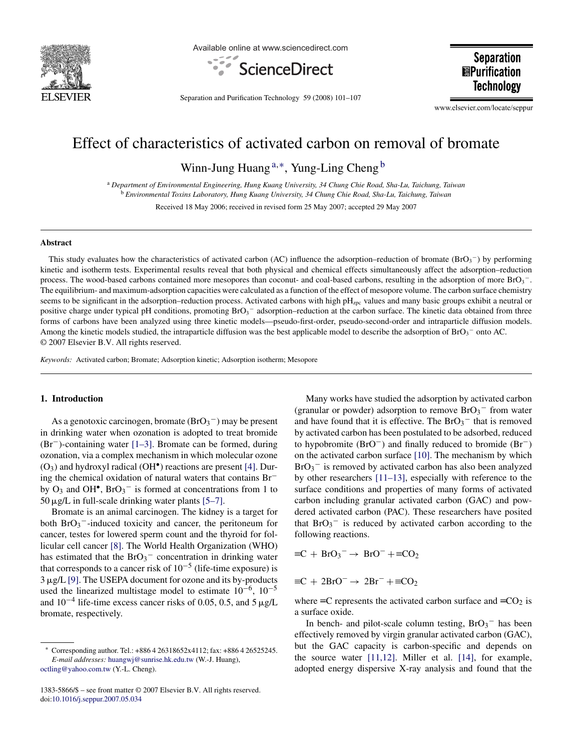

Available online at www.sciencedirect.com



**Separation EPurification Technology** 

Separation and Purification Technology 59 (2008) 101–107

www.elsevier.com/locate/seppur

# Effect of characteristics of activated carbon on removal of bromate

Winn-Jung Huang<sup>a,∗</sup>, Yung-Ling Cheng <sup>b</sup>

<sup>a</sup> *Department of Environmental Engineering, Hung Kuang University, 34 Chung Chie Road, Sha-Lu, Taichung, Taiwan* <sup>b</sup> *Environmental Toxins Laboratory, Hung Kuang University, 34 Chung Chie Road, Sha-Lu, Taichung, Taiwan*

Received 18 May 2006; received in revised form 25 May 2007; accepted 29 May 2007

#### **Abstract**

This study evaluates how the characteristics of activated carbon (AC) influence the adsorption–reduction of bromate ( $BrO_3^-$ ) by performing kinetic and isotherm tests. Experimental results reveal that both physical and chemical effects simultaneously affect the adsorption–reduction process. The wood-based carbons contained more mesopores than coconut- and coal-based carbons, resulting in the adsorption of more BrO<sub>3</sub><sup>-</sup>. The equilibrium- and maximum-adsorption capacities were calculated as a function of the effect of mesopore volume. The carbon surface chemistry seems to be significant in the adsorption–reduction process. Activated carbons with high  $pH<sub>zpc</sub>$  values and many basic groups exhibit a neutral or positive charge under typical pH conditions, promoting  $BrO<sub>3</sub>^-$  adsorption–reduction at the carbon surface. The kinetic data obtained from three forms of carbons have been analyzed using three kinetic models—pseudo-first-order, pseudo-second-order and intraparticle diffusion models. Among the kinetic models studied, the intraparticle diffusion was the best applicable model to describe the adsorption of  $BrO<sub>3</sub>^-$  onto AC. © 2007 Elsevier B.V. All rights reserved.

*Keywords:* Activated carbon; Bromate; Adsorption kinetic; Adsorption isotherm; Mesopore

## **1. Introduction**

As a genotoxic carcinogen, bromate  $(BrO<sub>3</sub><sup>-</sup>)$  may be present in drinking water when ozonation is adopted to treat bromide (Br−)-containing water [\[1–3\].](#page-6-0) Bromate can be formed, during ozonation, via a complex mechanism in which molecular ozone  $(O_3)$  and hydroxyl radical  $(OH^{\bullet})$  reactions are present [\[4\].](#page-6-0) During the chemical oxidation of natural waters that contains Br− by  $O_3$  and  $OH^{\bullet}$ ,  $BrO_3^-$  is formed at concentrations from 1 to  $50 \mu g/L$  in full-scale drinking water plants [\[5–7\].](#page-6-0)

Bromate is an animal carcinogen. The kidney is a target for both  $BrO_3^-$ -induced toxicity and cancer, the peritoneum for cancer, testes for lowered sperm count and the thyroid for follicular cell cancer [\[8\].](#page-6-0) The World Health Organization (WHO) has estimated that the  $BrO<sub>3</sub><sup>-</sup>$  concentration in drinking water that corresponds to a cancer risk of  $10^{-5}$  (life-time exposure) is 3 µg/L [\[9\]. T](#page-6-0)he USEPA document for ozone and its by-products used the linearized multistage model to estimate  $10^{-6}$ ,  $10^{-5}$ and  $10^{-4}$  life-time excess cancer risks of 0.05, 0.5, and 5 µg/L bromate, respectively.

Many works have studied the adsorption by activated carbon (granular or powder) adsorption to remove  $BrO_3^-$  from water and have found that it is effective. The  $BrO_3^-$  that is removed by activated carbon has been postulated to be adsorbed, reduced to hypobromite (BrO−) and finally reduced to bromide (Br−) on the activated carbon surface [\[10\]. T](#page-6-0)he mechanism by which  $BrO<sub>3</sub>$ <sup>-</sup> is removed by activated carbon has also been analyzed by other researchers [\[11–13\],](#page-6-0) especially with reference to the surface conditions and properties of many forms of activated carbon including granular activated carbon (GAC) and powdered activated carbon (PAC). These researchers have posited that  $BrO_3^-$  is reduced by activated carbon according to the following reactions.

$$
\equiv C + BrO_3^- \rightarrow BrO^- + \equiv CO_2
$$

$$
\equiv C + 2BrO^- \rightarrow 2Br^- + \equiv CO_2
$$

where  $\equiv$ C represents the activated carbon surface and  $\equiv$ CO<sub>2</sub> is a surface oxide.

In bench- and pilot-scale column testing,  $BrO_3^-$  has been effectively removed by virgin granular activated carbon (GAC), but the GAC capacity is carbon-specific and depends on the source water [\[11,12\].](#page-6-0) Miller et al. [\[14\],](#page-6-0) for example, adopted energy dispersive X-ray analysis and found that the

<sup>∗</sup> Corresponding author. Tel.: +886 4 26318652x4112; fax: +886 4 26525245. *E-mail addresses:* [huangwj@sunrise.hk.edu.tw](mailto:huangwj@sunrise.hk.edu.tw) (W.-J. Huang), [octling@yahoo.com.tw](mailto:octling@yahoo.com.tw) (Y.-L. Cheng).

<sup>1383-5866/\$ –</sup> see front matter © 2007 Elsevier B.V. All rights reserved. doi[:10.1016/j.seppur.2007.05.034](dx.doi.org/10.1016/j.seppur.2007.05.034)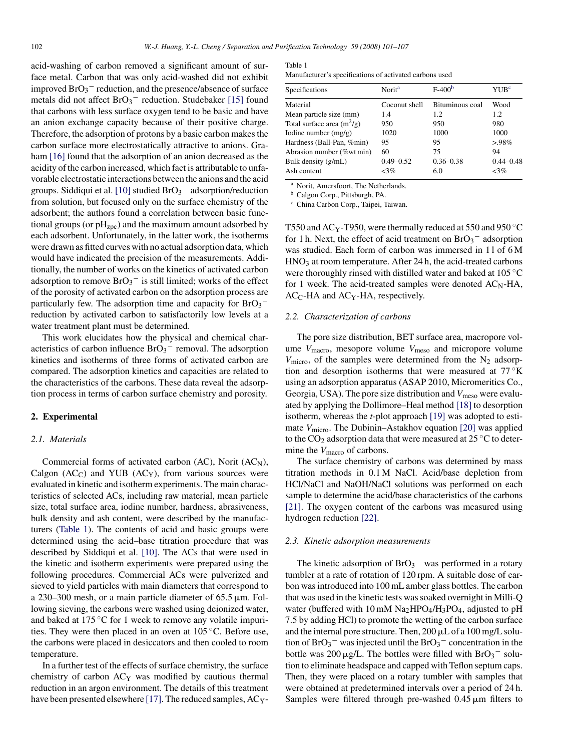acid-washing of carbon removed a significant amount of surface metal. Carbon that was only acid-washed did not exhibit improved  $BrO_3^-$  reduction, and the presence/absence of surface metals did not affect  $BrO<sub>3</sub><sup>-</sup>$  reduction. Studebaker [\[15\]](#page-6-0) found that carbons with less surface oxygen tend to be basic and have an anion exchange capacity because of their positive charge. Therefore, the adsorption of protons by a basic carbon makes the carbon surface more electrostatically attractive to anions. Gra-ham [\[16\]](#page-6-0) found that the adsorption of an anion decreased as the acidity of the carbon increased, which fact is attributable to unfavorable electrostatic interactions between the anions and the acid groups. Siddiqui et al. [\[10\]](#page-6-0) studied  $BrO_3^-$  adsorption/reduction from solution, but focused only on the surface chemistry of the adsorbent; the authors found a correlation between basic functional groups (or  $pH<sub>zpc</sub>$ ) and the maximum amount adsorbed by each adsorbent. Unfortunately, in the latter work, the isotherms were drawn as fitted curves with no actual adsorption data, which would have indicated the precision of the measurements. Additionally, the number of works on the kinetics of activated carbon adsorption to remove  $BrO_3^-$  is still limited; works of the effect of the porosity of activated carbon on the adsorption process are particularly few. The adsorption time and capacity for  $BrO_3^$ reduction by activated carbon to satisfactorily low levels at a water treatment plant must be determined.

This work elucidates how the physical and chemical characteristics of carbon influence  $BrO<sub>3</sub><sup>-</sup>$  removal. The adsorption kinetics and isotherms of three forms of activated carbon are compared. The adsorption kinetics and capacities are related to the characteristics of the carbons. These data reveal the adsorption process in terms of carbon surface chemistry and porosity.

#### **2. Experimental**

## *2.1. Materials*

Commercial forms of activated carbon  $(AC)$ , Norit  $(AC<sub>N</sub>)$ , Calgon  $(AC<sub>C</sub>)$  and YUB  $(AC<sub>Y</sub>)$ , from various sources were evaluated in kinetic and isotherm experiments. The main characteristics of selected ACs, including raw material, mean particle size, total surface area, iodine number, hardness, abrasiveness, bulk density and ash content, were described by the manufacturers (Table 1). The contents of acid and basic groups were determined using the acid–base titration procedure that was described by Siddiqui et al. [\[10\].](#page-6-0) The ACs that were used in the kinetic and isotherm experiments were prepared using the following procedures. Commercial ACs were pulverized and sieved to yield particles with main diameters that correspond to a 230–300 mesh, or a main particle diameter of  $65.5 \,\mu m$ . Following sieving, the carbons were washed using deionized water, and baked at  $175 \degree C$  for 1 week to remove any volatile impurities. They were then placed in an oven at 105 ◦C. Before use, the carbons were placed in desiccators and then cooled to room temperature.

In a further test of the effects of surface chemistry, the surface chemistry of carbon ACY was modified by cautious thermal reduction in an argon environment. The details of this treatment have been presented elsewhere [\[17\]. T](#page-6-0)he reduced samples, AC<sub>Y</sub>-

| Table 1 |  |
|---------|--|
|         |  |

| Manufacturer's specifications of activated carbons used |  |
|---------------------------------------------------------|--|
|---------------------------------------------------------|--|

| Specifications               | Norit <sup>a</sup> | $F-400b$        | YUB <sup>e</sup> |
|------------------------------|--------------------|-----------------|------------------|
| Material                     | Coconut shell      | Bituminous coal | Wood             |
| Mean particle size (mm)      | 1.4                | 1.2             | 1.2              |
| Total surface area $(m^2/g)$ | 950                | 950             | 980              |
| Iodine number $(mg/g)$       | 1020               | 1000            | 1000             |
| Hardness (Ball-Pan, %min)    | 95                 | 95              | $>98\%$          |
| Abrasion number (%wt min)    | 60                 | 75              | 94               |
| Bulk density (g/mL)          | $0.49 - 0.52$      | $0.36 - 0.38$   | $0.44 - 0.48$    |
| Ash content                  | $<3\%$             | 6.0             | $<3\%$           |

<sup>a</sup> Norit, Amersfoort, The Netherlands.

<sup>b</sup> Calgon Corp., Pittsburgh, PA.

<sup>c</sup> China Carbon Corp., Taipei, Taiwan.

T550 and AC<sub>Y</sub>-T950, were thermally reduced at 550 and 950 °C for 1 h. Next, the effect of acid treatment on  $BrO_3^-$  adsorption was studied. Each form of carbon was immersed in 11 of 6 M  $HNO<sub>3</sub>$  at room temperature. After 24 h, the acid-treated carbons were thoroughly rinsed with distilled water and baked at 105 °C for 1 week. The acid-treated samples were denoted  $AC_N-HA$ ,  $AC<sub>C</sub>$ -HA and  $AC<sub>Y</sub>$ -HA, respectively.

#### *2.2. Characterization of carbons*

The pore size distribution, BET surface area, macropore volume *V*<sub>macro</sub>, mesopore volume *V*<sub>meso</sub> and micropore volume  $V_{\text{micro}}$ , of the samples were determined from the N<sub>2</sub> adsorption and desorption isotherms that were measured at  $77^\circ$ K using an adsorption apparatus (ASAP 2010, Micromeritics Co., Georgia, USA). The pore size distribution and  $V_{\text{meso}}$  were evaluated by applying the Dollimore–Heal method [\[18\]](#page-6-0) to desorption isotherm, whereas the *t*-plot approach [\[19\]](#page-6-0) was adopted to estimate *V*<sub>micro</sub>. The Dubinin–Astakhov equation [\[20\]](#page-6-0) was applied to the  $CO_2$  adsorption data that were measured at 25 °C to determine the *V*<sub>macro</sub> of carbons.

The surface chemistry of carbons was determined by mass titration methods in 0.1 M NaCl. Acid/base depletion from HCl/NaCl and NaOH/NaCl solutions was performed on each sample to determine the acid/base characteristics of the carbons [\[21\].](#page-6-0) The oxygen content of the carbons was measured using hydrogen reduction [\[22\].](#page-6-0)

#### *2.3. Kinetic adsorption measurements*

The kinetic adsorption of  $BrO<sub>3</sub><sup>-</sup>$  was performed in a rotary tumbler at a rate of rotation of 120 rpm. A suitable dose of carbon was introduced into 100 mL amber glass bottles. The carbon that was used in the kinetic tests was soaked overnight in Milli-Q water (buffered with  $10 \text{ mM Na}_2\text{HPO}_4/\text{H}_3\text{PO}_4$ , adjusted to pH 7.5 by adding HCl) to promote the wetting of the carbon surface and the internal pore structure. Then,  $200 \mu L$  of a  $100 \text{ mg/L}$  solution of  $BrO_3^-$  was injected until the  $BrO_3^-$  concentration in the bottle was 200  $\mu$ g/L. The bottles were filled with BrO<sub>3</sub><sup>-</sup> solution to eliminate headspace and capped with Teflon septum caps. Then, they were placed on a rotary tumbler with samples that were obtained at predetermined intervals over a period of 24 h. Samples were filtered through pre-washed  $0.45 \,\mu m$  filters to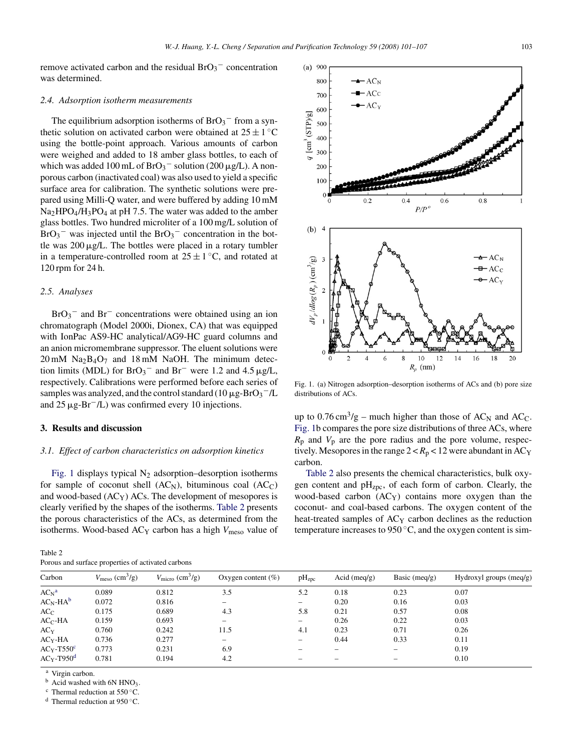<span id="page-2-0"></span>remove activated carbon and the residual  $BrO<sub>3</sub>$ <sup>-</sup> concentration was determined.

#### *2.4. Adsorption isotherm measurements*

The equilibrium adsorption isotherms of  $BrO_3^-$  from a synthetic solution on activated carbon were obtained at  $25 \pm 1$  °C using the bottle-point approach. Various amounts of carbon were weighed and added to 18 amber glass bottles, to each of which was added 100 mL of  $BrO_3^-$  solution (200  $\mu g/L$ ). A nonporous carbon (inactivated coal) was also used to yield a specific surface area for calibration. The synthetic solutions were prepared using Milli-Q water, and were buffered by adding 10 mM  $Na<sub>2</sub>HPO<sub>4</sub>/H<sub>3</sub>PO<sub>4</sub>$  at pH 7.5. The water was added to the amber glass bottles. Two hundred microliter of a 100 mg/L solution of  $BrO_3$ <sup>-</sup> was injected until the  $BrO_3$ <sup>-</sup> concentration in the bottle was  $200 \mu g/L$ . The bottles were placed in a rotary tumbler in a temperature-controlled room at  $25 \pm 1$  °C, and rotated at 120 rpm for 24 h.

## *2.5. Analyses*

 $BrO<sub>3</sub><sup>-</sup>$  and  $Br<sup>-</sup>$  concentrations were obtained using an ion chromatograph (Model 2000i, Dionex, CA) that was equipped with IonPac AS9-HC analytical/AG9-HC guard columns and an anion micromembrane suppressor. The eluent solutions were  $20 \text{ mM }$  Na<sub>2</sub>B<sub>4</sub>O<sub>7</sub> and 18 mM NaOH. The minimum detection limits (MDL) for  $BrO_3^-$  and  $Br^-$  were 1.2 and 4.5  $\mu g/L$ , respectively. Calibrations were performed before each series of samples was analyzed, and the control standard ( $10 \mu$ g-BrO<sub>3</sub><sup>-</sup>/L and  $25 \mu g$ -Br<sup>-</sup>/L) was confirmed every 10 injections.

## **3. Results and discussion**

## *3.1. Effect of carbon characteristics on adsorption kinetics*

Fig. 1 displays typical  $N_2$  adsorption–desorption isotherms for sample of coconut shell  $(AC_N)$ , bituminous coal  $(AC_C)$ and wood-based  $(AC<sub>Y</sub>)$  ACs. The development of mesopores is clearly verified by the shapes of the isotherms. Table 2 presents the porous characteristics of the ACs, as determined from the isotherms. Wood-based AC<sub>Y</sub> carbon has a high *V*<sub>meso</sub> value of

| Table 2                                            |  |
|----------------------------------------------------|--|
| Porous and surface properties of activated carbons |  |



Fig. 1. (a) Nitrogen adsorption–desorption isotherms of ACs and (b) pore size distributions of ACs.

up to  $0.76 \text{ cm}^3/\text{g}$  – much higher than those of AC<sub>N</sub> and AC<sub>C</sub>. Fig. 1b compares the pore size distributions of three ACs, where  $R_p$  and  $V_p$  are the pore radius and the pore volume, respectively. Mesopores in the range  $2 < R_p < 12$  were abundant in AC<sub>Y</sub> carbon.

Table 2 also presents the chemical characteristics, bulk oxygen content and  $pH_{ZDC}$ , of each form of carbon. Clearly, the wood-based carbon  $(AC<sub>Y</sub>)$  contains more oxygen than the coconut- and coal-based carbons. The oxygen content of the heat-treated samples of  $AC<sub>Y</sub>$  carbon declines as the reduction temperature increases to  $950^{\circ}$ C, and the oxygen content is sim-

| Carbon          | $V_{\text{meso}}\left(\text{cm}^3/\text{g}\right)$ | $V_{\text{micro}}$ (cm <sup>3</sup> /g) | Oxygen content $(\% )$ | pH <sub>zpc</sub> | Acid $(meq/g)$ | Basic (meq/g) | Hydroxyl groups $(meq/g)$ |
|-----------------|----------------------------------------------------|-----------------------------------------|------------------------|-------------------|----------------|---------------|---------------------------|
| $AC_N^a$        | 0.089                                              | 0.812                                   | 3.5                    | 5.2               | 0.18           | 0.23          | 0.07                      |
| $AC_N-HA^b$     | 0.072                                              | 0.816                                   | —                      | -                 | 0.20           | 0.16          | 0.03                      |
| $AC_C$          | 0.175                                              | 0.689                                   | 4.3                    | 5.8               | 0.21           | 0.57          | 0.08                      |
| $ACC$ -HA       | 0.159                                              | 0.693                                   |                        | $\qquad \qquad$   | 0.26           | 0.22          | 0.03                      |
| AC <sub>Y</sub> | 0.760                                              | 0.242                                   | 11.5                   | 4.1               | 0.23           | 0.71          | 0.26                      |
| $ACY - HA$      | 0.736                                              | 0.277                                   | -                      | $\qquad \qquad$   | 0.44           | 0.33          | 0.11                      |
| $AC_Y-T550^c$   | 0.773                                              | 0.231                                   | 6.9                    |                   |                |               | 0.19                      |
| $ACY-T950d$     | 0.781                                              | 0.194                                   | 4.2                    |                   |                |               | 0.10                      |
|                 |                                                    |                                         |                        |                   |                |               |                           |

Virgin carbon.

b Acid washed with 6N HNO<sub>3</sub>.<br><sup>c</sup> Thermal reduction at 550 °C.

<sup>d</sup> Thermal reduction at 950 °C.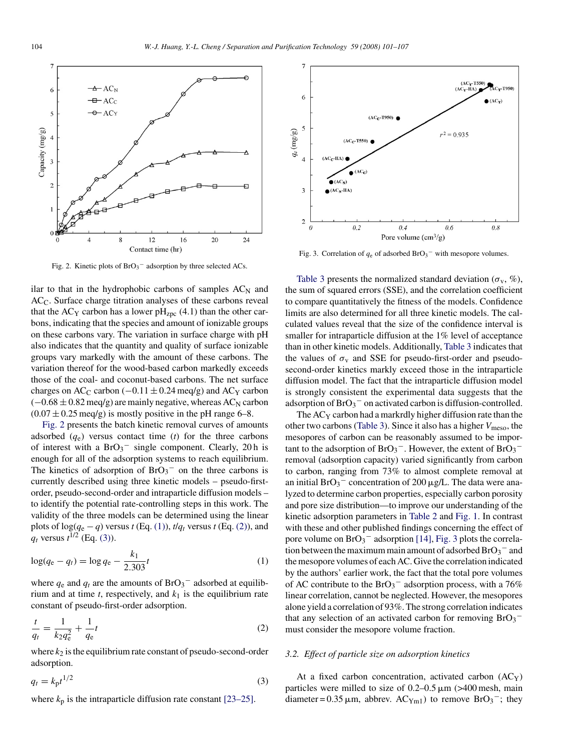<span id="page-3-0"></span>

Fig. 2. Kinetic plots of  $BrO<sub>3</sub><sup>-</sup>$  adsorption by three selected ACs.

ilar to that in the hydrophobic carbons of samples  $AC_N$  and ACC. Surface charge titration analyses of these carbons reveal that the AC<sub>Y</sub> carbon has a lower  $pH_{ZDC}$  (4.1) than the other carbons, indicating that the species and amount of ionizable groups on these carbons vary. The variation in surface charge with pH also indicates that the quantity and quality of surface ionizable groups vary markedly with the amount of these carbons. The variation thereof for the wood-based carbon markedly exceeds those of the coal- and coconut-based carbons. The net surface charges on AC<sub>C</sub> carbon ( $-0.11 \pm 0.24$  meq/g) and AC<sub>Y</sub> carbon  $(-0.68 \pm 0.82 \,\text{meq/g})$  are mainly negative, whereas AC<sub>N</sub> carbon  $(0.07 \pm 0.25 \text{~meq/g})$  is mostly positive in the pH range 6–8.

Fig. 2 presents the batch kinetic removal curves of amounts adsorbed  $(q_e)$  versus contact time  $(t)$  for the three carbons of interest with a  $BrO<sub>3</sub><sup>-</sup>$  single component. Clearly, 20h is enough for all of the adsorption systems to reach equilibrium. The kinetics of adsorption of  $BrO<sub>3</sub><sup>-</sup>$  on the three carbons is currently described using three kinetic models – pseudo-firstorder, pseudo-second-order and intraparticle diffusion models – to identify the potential rate-controlling steps in this work. The validity of the three models can be determined using the linear plots of  $\log(q_e - q)$  versus *t* (Eq. (1)), *t* $/q_t$  versus *t* (Eq. (2)), and  $q_t$  versus  $t^{1/2}$  (Eq. (3)).

$$
\log(q_{\rm e} - q_t) = \log q_{\rm e} - \frac{k_1}{2.303}t\tag{1}
$$

where  $q_e$  and  $q_t$  are the amounts of  $BrO_3^-$  adsorbed at equilibrium and at time  $t$ , respectively, and  $k_1$  is the equilibrium rate constant of pseudo-first-order adsorption.

$$
\frac{t}{q_t} = \frac{1}{k_2 q_e^2} + \frac{1}{q_e} t
$$
\n(2)

where  $k_2$  is the equilibrium rate constant of pseudo-second-order adsorption.

$$
q_t = k_p t^{1/2} \tag{3}
$$

where  $k_p$  is the intraparticle diffusion rate constant  $[23-25]$ .



Fig. 3. Correlation of  $q_e$  of adsorbed  $BrO_3^-$  with mesopore volumes.

[Table 3](#page-4-0) presents the normalized standard deviation ( $\sigma_{v}$ , %), the sum of squared errors (SSE), and the correlation coefficient to compare quantitatively the fitness of the models. Confidence limits are also determined for all three kinetic models. The calculated values reveal that the size of the confidence interval is smaller for intraparticle diffusion at the 1% level of acceptance than in other kinetic models. Additionally, [Table 3](#page-4-0) indicates that the values of  $\sigma_v$  and SSE for pseudo-first-order and pseudosecond-order kinetics markly exceed those in the intraparticle diffusion model. The fact that the intraparticle diffusion model is strongly consistent the experimental data suggests that the adsorption of  $BrO_3^-$  on activated carbon is diffusion-controlled.

The  $AC<sub>Y</sub>$  carbon had a markrdly higher diffusion rate than the other two carbons ([Table 3\).](#page-4-0) Since it also has a higher  $V_{\text{meso}}$ , the mesopores of carbon can be reasonably assumed to be important to the adsorption of  $BrO_3^-$ . However, the extent of  $BrO_3^$ removal (adsorption capacity) varied significantly from carbon to carbon, ranging from 73% to almost complete removal at an initial BrO<sub>3</sub><sup>-</sup> concentration of 200  $\mu$ g/L. The data were analyzed to determine carbon properties, especially carbon porosity and pore size distribution—to improve our understanding of the kinetic adsorption parameters in [Table 2](#page-2-0) and [Fig. 1.](#page-2-0) In contrast with these and other published findings concerning the effect of pore volume on  $BrO_3^-$  adsorption [\[14\],](#page-6-0) Fig. 3 plots the correlation between the maximum main amount of adsorbed  $BrO_3^-$  and the mesopore volumes of each AC. Give the correlation indicated by the authors' earlier work, the fact that the total pore volumes of AC contribute to the  $BrO_3^-$  adsorption process, with a 76% linear correlation, cannot be neglected. However, the mesopores alone yield a correlation of 93%. The strong correlation indicates that any selection of an activated carbon for removing  $BrO_3^$ must consider the mesopore volume fraction.

## *3.2. Effect of particle size on adsorption kinetics*

At a fixed carbon concentration, activated carbon  $(AC<sub>Y</sub>)$ particles were milled to size of  $0.2-0.5 \,\mathrm{\mu m}$  (>400 mesh, main diameter =  $0.35 \mu$ m, abbrev. AC<sub>Ym1</sub>) to remove BrO<sub>3</sub><sup>-</sup>; they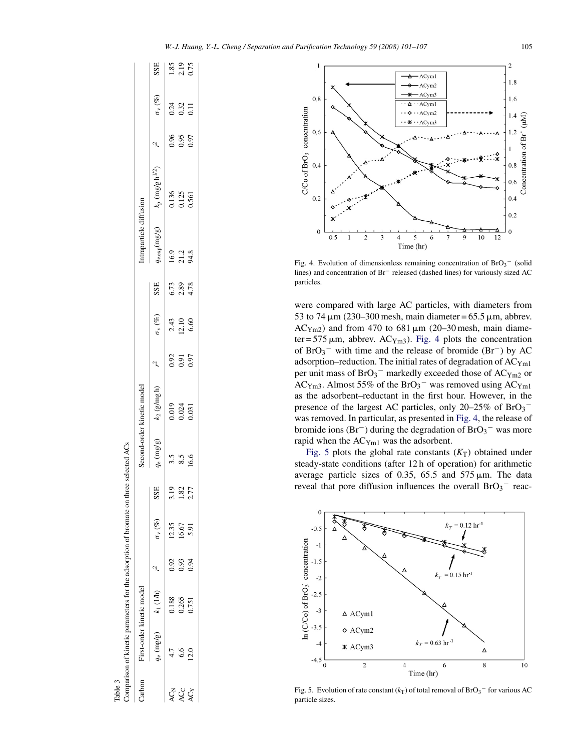

Fig. 4. Evolution of dimensionless remaining concentration of  $BrO<sub>3</sub>^-$  (solid lines) and concentration of Br− released (dashed lines) for variously sized AC particles.

were compared with large AC particles, with diameters from 53 to 74  $\mu$ m (230–300 mesh, main diameter = 65.5  $\mu$ m, abbrev.  $AC<sub>Ym2</sub>$ ) and from 470 to 681  $\mu$ m (20–30 mesh, main diameter = 575  $\mu$ m, abbrev. AC<sub>Ym3</sub>). Fig. 4 plots the concentration of  $BrO_3^-$  with time and the release of bromide (Br<sup>-</sup>) by AC adsorption–reduction. The initial rates of degradation of ACYm1 per unit mass of  $BrO_3^-$  markedly exceeded those of  $\text{AC}_{\text{Ym2}}$  or AC<sub>Ym3</sub>. Almost 55% of the BrO<sub>3</sub><sup>-</sup> was removed using AC<sub>Ym1</sub> as the adsorbent–reductant in the first hour. However, in the presence of the largest AC particles, only 20–25% of  $BrO_3^$ was removed. In particular, as presented in Fig. 4, the release of bromide ions  $(Br^-)$  during the degradation of  $BrO_3^-$  was more rapid when the ACYm1 was the adsorbent.

Fig. 5 plots the global rate constants  $(K_T)$  obtained under steady-state conditions (after 12 h of operation) for arithmetic average particle sizes of 0.35, 65.5 and  $575 \mu m$ . The data reveal that pore diffusion influences the overall  $BrO_3^-$  reac-



Fig. 5. Evolution of rate constant  $(k_T)$  of total removal of  $BrO_3^-$  for various AC particle sizes.

<span id="page-4-0"></span>

| Carbon          |      | First-order kinetic model |      |                      |                 |              | second-order kinetic model |                      |                                                      |                            | ntraparticle diffusion          |                         |                      |                                                                 |                            |
|-----------------|------|---------------------------|------|----------------------|-----------------|--------------|----------------------------|----------------------|------------------------------------------------------|----------------------------|---------------------------------|-------------------------|----------------------|-----------------------------------------------------------------|----------------------------|
|                 |      | $q_e$ (mg/g) $k_1$ (1/h)  |      | $\sigma_{\rm v}$ (%) | SSE             | $q_e$ (mg/g) | $k_2$ (g/mg h)             |                      | $\sigma_{\rm v}$ $({}^{op}_{\rm 0})$                 | SSE                        | $q_{\text{e,exp}}(\text{mg/g})$ | $k_p$ (mg/gh $^{1/2}$ ) |                      | $\sigma_{\rm v} \left( \!\!{\,}^{\rm g}_{\rm 0} \!\!\! \right)$ | SSE                        |
| AC <sub>N</sub> |      | 0.188                     | 0.92 | 12.35                | 3.19            | 3.5          |                            |                      |                                                      |                            |                                 |                         |                      |                                                                 |                            |
| AC <sub>C</sub> |      | 0.265                     | 0.93 | 16.67                | $\overline{82}$ |              | 0.019<br>0.024<br>0.031    | 0.91<br>0.97<br>0.97 | $\begin{array}{c} 2.43 \\ 12.10 \\ 6.60 \end{array}$ | $6.73$<br>$2.89$<br>$4.78$ | 9<br>2 1 3<br>4 3               | 0.136<br>0.125<br>0.561 | 0.96<br>0.95<br>0.97 | 0.24<br>0.32<br>0.11                                            | $1.85$<br>$2.19$<br>$0.75$ |
| 4ČY             | 12.0 | 0.751                     | 0.94 | 5.91                 | 2.77            | 6.6          |                            |                      |                                                      |                            |                                 |                         |                      |                                                                 |                            |

Table 3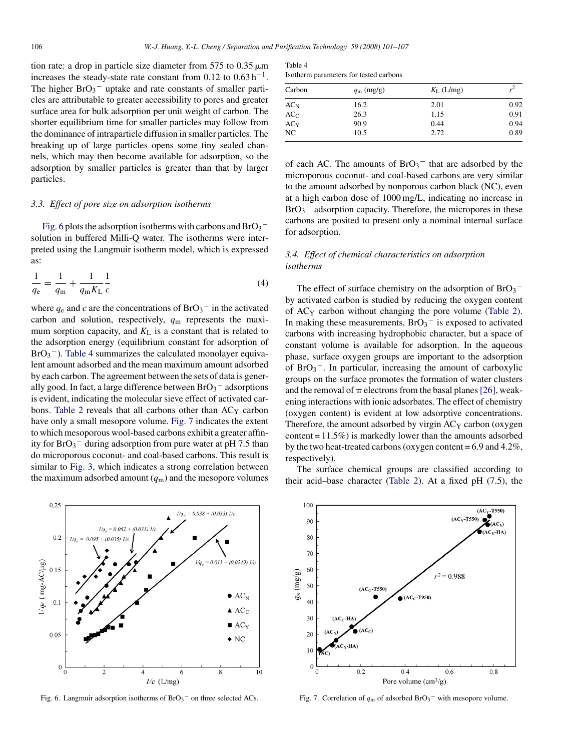tion rate: a drop in particle size diameter from  $575$  to  $0.35 \,\mathrm{\upmu m}$ increases the steady-state rate constant from  $0.12$  to  $0.63$  h<sup>-1</sup>. The higher  $BrO_3^-$  uptake and rate constants of smaller particles are attributable to greater accessibility to pores and greater surface area for bulk adsorption per unit weight of carbon. The shorter equilibrium time for smaller particles may follow from the dominance of intraparticle diffusion in smaller particles. The breaking up of large particles opens some tiny sealed channels, which may then become available for adsorption, so the adsorption by smaller particles is greater than that by larger particles.

#### *3.3. Effect of pore size on adsorption isotherms*

Fig. 6 plots the adsorption isotherms with carbons and BrO3 $^$ solution in buffered Milli-Q water. The isotherms were interpreted using the Langmuir isotherm model, which is expressed as:

$$
\frac{1}{q_{\rm e}} = \frac{1}{q_{\rm m}} + \frac{1}{q_{\rm m} K_{\rm L}} \frac{1}{c} \tag{4}
$$

where  $q_e$  and *c* are the concentrations of  $BrO_3^-$  in the activated carbon and solution, respectively, *q*<sup>m</sup> represents the maximum sorption capacity, and  $K<sub>L</sub>$  is a constant that is related to the adsorption energy (equilibrium constant for adsorption of  $BrO<sub>3</sub>$ . Table 4 summarizes the calculated monolayer equivalent amount adsorbed and the mean maximum amount adsorbed by each carbon. The agreement between the sets of data is generally good. In fact, a large difference between  $BrO_3^-$  adsorptions is evident, indicating the molecular sieve effect of activated car-bons. [Table 2](#page-2-0) reveals that all carbons other than AC<sub>Y</sub> carbon have only a small mesopore volume. Fig. 7 indicates the extent to which mesoporous wool-based carbons exhibit a greater affinity for  $BrO_3^-$  during adsorption from pure water at pH 7.5 than do microporous coconut- and coal-based carbons. This result is similar to [Fig. 3,](#page-3-0) which indicates a strong correlation between the maximum adsorbed amount  $(q_m)$  and the mesopore volumes



Fig. 6. Langmuir adsorption isotherms of  $BrO<sub>3</sub>$ <sup>-</sup> on three selected ACs.

| Table 4                                |  |  |
|----------------------------------------|--|--|
| Isotherm parameters for tested carbons |  |  |

| Carbon          | $q_{\rm m}$ (mg/g) | $K_{\rm L}$ (L/mg) |      |
|-----------------|--------------------|--------------------|------|
| $AC_{\rm N}$    | 16.2               | 2.01               | 0.92 |
| $AC_C$          | 26.3               | 1.15               | 0.91 |
| AC <sub>Y</sub> | 90.9               | 0.44               | 0.94 |
| NC              | 10.5               | 2.72               | 0.89 |

of each AC. The amounts of  $BrO<sub>3</sub><sup>-</sup>$  that are adsorbed by the microporous coconut- and coal-based carbons are very similar to the amount adsorbed by nonporous carbon black (NC), even at a high carbon dose of 1000 mg/L, indicating no increase in  $BrO<sub>3</sub>$ <sup>-</sup> adsorption capacity. Therefore, the micropores in these carbons are posited to present only a nominal internal surface for adsorption.

# *3.4. Effect of chemical characteristics on adsorption isotherms*

The effect of surface chemistry on the adsorption of  $BrO_3^$ by activated carbon is studied by reducing the oxygen content of ACY carbon without changing the pore volume [\(Table 2\).](#page-2-0) In making these measurements,  $BrO<sub>3</sub><sup>-</sup>$  is exposed to activated carbons with increasing hydrophobic character, but a space of constant volume is available for adsorption. In the aqueous phase, surface oxygen groups are important to the adsorption of  $BrO_3^-$ . In particular, increasing the amount of carboxylic groups on the surface promotes the formation of water clusters and the removal of  $\pi$  electrons from the basal planes [\[26\], w](#page-6-0)eakening interactions with ionic adsorbates. The effect of chemistry (oxygen content) is evident at low adsorptive concentrations. Therefore, the amount adsorbed by virgin  $AC<sub>Y</sub>$  carbon (oxygen content  $= 11.5\%$ ) is markedly lower than the amounts adsorbed by the two heat-treated carbons (oxygen content = 6.9 and 4.2%, respectively).

The surface chemical groups are classified according to their acid–base character [\(Table 2\).](#page-2-0) At a fixed pH (7.5), the



Fig. 7. Correlation of  $q_m$  of adsorbed  $BrO_3$ <sup>-</sup> with mesopore volume.